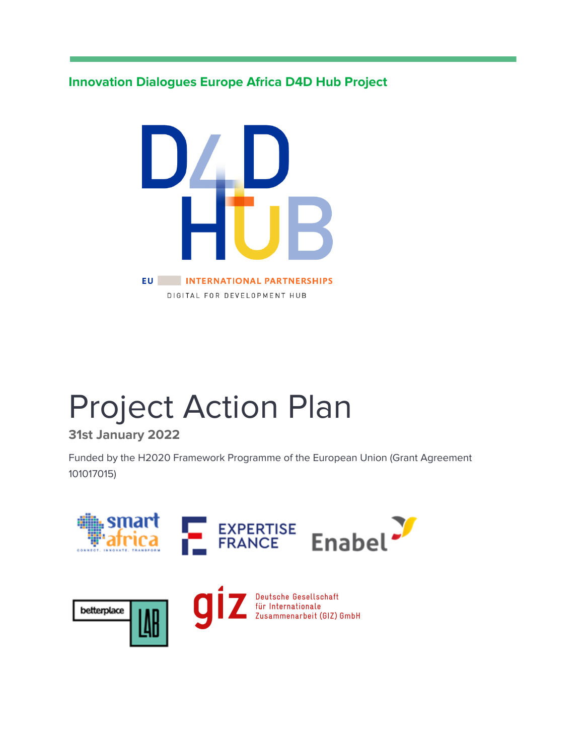**Innovation Dialogues Europe Africa D4D Hub Project**



# Project Action Plan

## **31st January 2022**

Funded by the H2020 Framework Programme of the European Union (Grant Agreement 101017015)

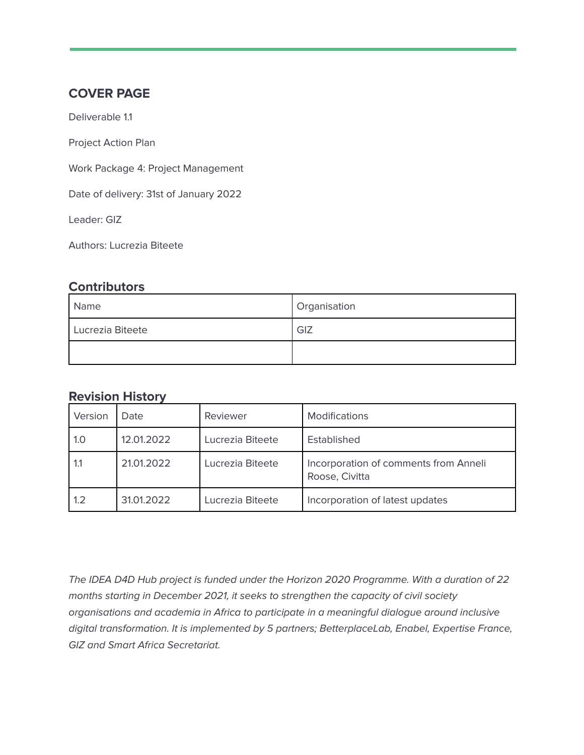#### **COVER PAGE**

Deliverable 1.1

Project Action Plan

Work Package 4: Project Management

Date of delivery: 31st of January 2022

Leader: GIZ

Authors: Lucrezia Biteete

#### **Contributors**

| Name             | Organisation |
|------------------|--------------|
| Lucrezia Biteete | GIZ          |
|                  |              |

#### **Revision History**

| Version | Date       | Reviewer         | <b>Modifications</b>                                    |
|---------|------------|------------------|---------------------------------------------------------|
| 1.0     | 12.01.2022 | Lucrezia Biteete | Established                                             |
| 1.1     | 21.01.2022 | Lucrezia Biteete | Incorporation of comments from Anneli<br>Roose, Civitta |
| 1.2     | 31.01.2022 | Lucrezia Biteete | Incorporation of latest updates                         |

The IDEA D4D Hub project is funded under the Horizon 2020 Programme. With a duration of 22 months starting in December 2021, it seeks to strengthen the capacity of civil society organisations and academia in Africa to participate in a meaningful dialogue around inclusive digital transformation. It is implemented by 5 partners; BetterplaceLab, Enabel, Expertise France, GIZ and Smart Africa Secretariat.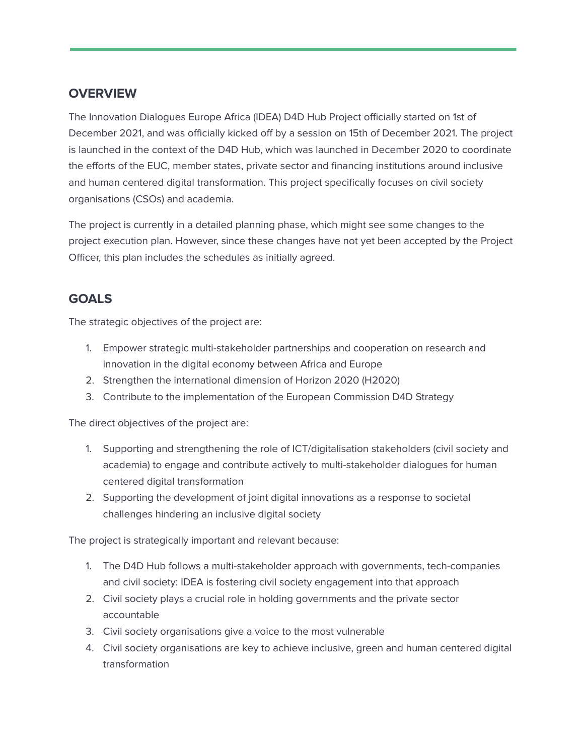## **OVERVIEW**

The Innovation Dialogues Europe Africa (IDEA) D4D Hub Project officially started on 1st of December 2021, and was officially kicked off by a session on 15th of December 2021. The project is launched in the context of the D4D Hub, which was launched in December 2020 to coordinate the efforts of the EUC, member states, private sector and financing institutions around inclusive and human centered digital transformation. This project specifically focuses on civil society organisations (CSOs) and academia.

The project is currently in a detailed planning phase, which might see some changes to the project execution plan. However, since these changes have not yet been accepted by the Project Officer, this plan includes the schedules as initially agreed.

#### **GOALS**

The strategic objectives of the project are:

- 1. Empower strategic multi-stakeholder partnerships and cooperation on research and innovation in the digital economy between Africa and Europe
- 2. Strengthen the international dimension of Horizon 2020 (H2020)
- 3. Contribute to the implementation of the European Commission D4D Strategy

The direct objectives of the project are:

- 1. Supporting and strengthening the role of ICT/digitalisation stakeholders (civil society and academia) to engage and contribute actively to multi-stakeholder dialogues for human centered digital transformation
- 2. Supporting the development of joint digital innovations as a response to societal challenges hindering an inclusive digital society

The project is strategically important and relevant because:

- 1. The D4D Hub follows a multi-stakeholder approach with governments, tech-companies and civil society: IDEA is fostering civil society engagement into that approach
- 2. Civil society plays a crucial role in holding governments and the private sector accountable
- 3. Civil society organisations give a voice to the most vulnerable
- 4. Civil society organisations are key to achieve inclusive, green and human centered digital transformation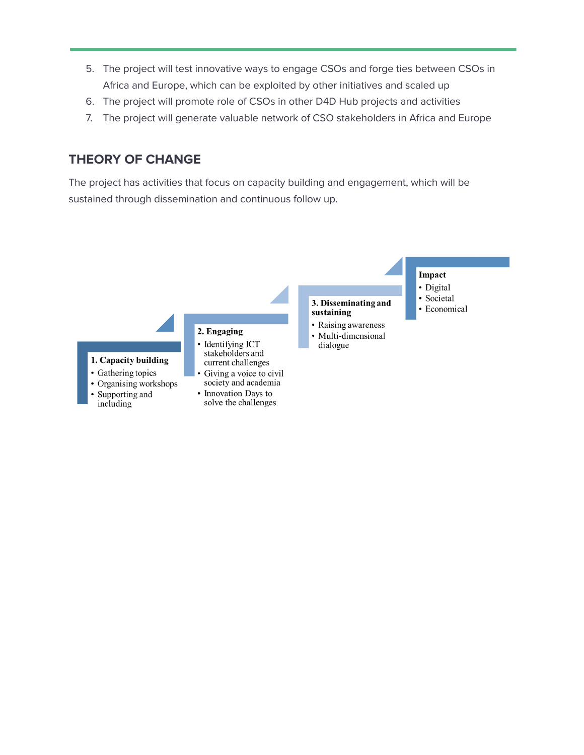- 5. The project will test innovative ways to engage CSOs and forge ties between CSOs in Africa and Europe, which can be exploited by other initiatives and scaled up
- 6. The project will promote role of CSOs in other D4D Hub projects and activities
- 7. The project will generate valuable network of CSO stakeholders in Africa and Europe

#### **THEORY OF CHANGE**

The project has activities that focus on capacity building and engagement, which will be sustained through dissemination and continuous follow up.

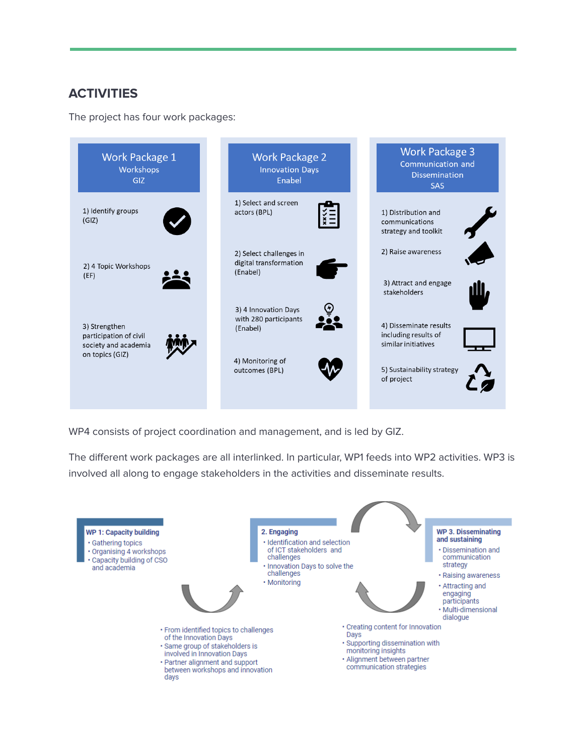# **ACTIVITIES**

The project has four work packages:



WP4 consists of project coordination and management, and is led by GIZ.

The different work packages are all interlinked. In particular, WP1 feeds into WP2 activities. WP3 is involved all along to engage stakeholders in the activities and disseminate results.

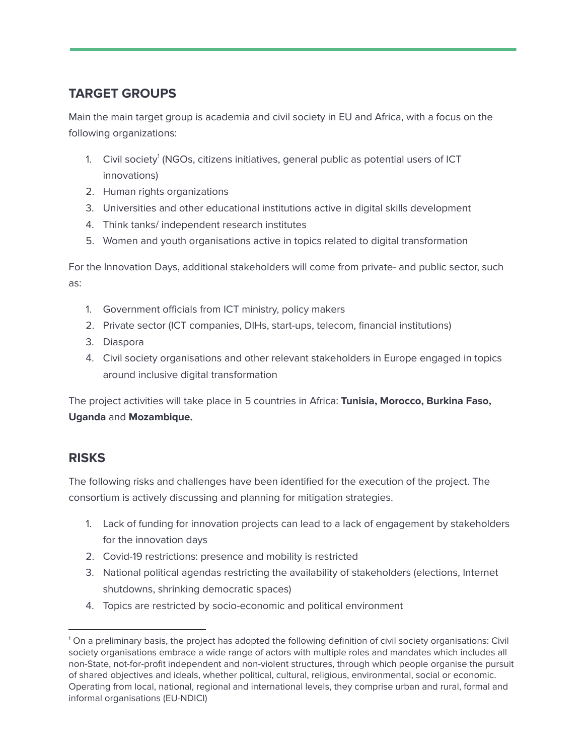# **TARGET GROUPS**

Main the main target group is academia and civil society in EU and Africa, with a focus on the following organizations:

- 1. Civil society ${}^{1}$  (NGOs, citizens initiatives, general public as potential users of ICT innovations)
- 2. Human rights organizations
- 3. Universities and other educational institutions active in digital skills development
- 4. Think tanks/ independent research institutes
- 5. Women and youth organisations active in topics related to digital transformation

For the Innovation Days, additional stakeholders will come from private- and public sector, such as:

- 1. Government officials from ICT ministry, policy makers
- 2. Private sector (ICT companies, DIHs, start-ups, telecom, financial institutions)
- 3. Diaspora
- 4. Civil society organisations and other relevant stakeholders in Europe engaged in topics around inclusive digital transformation

The project activities will take place in 5 countries in Africa: **Tunisia, Morocco, Burkina Faso, Uganda** and **Mozambique.**

# **RISKS**

The following risks and challenges have been identified for the execution of the project. The consortium is actively discussing and planning for mitigation strategies.

- 1. Lack of funding for innovation projects can lead to a lack of engagement by stakeholders for the innovation days
- 2. Covid-19 restrictions: presence and mobility is restricted
- 3. National political agendas restricting the availability of stakeholders (elections, Internet shutdowns, shrinking democratic spaces)
- 4. Topics are restricted by socio-economic and political environment

<sup>1</sup> On a preliminary basis, the project has adopted the following definition of civil society organisations: Civil society organisations embrace a wide range of actors with multiple roles and mandates which includes all non-State, not-for-profit independent and non-violent structures, through which people organise the pursuit of shared objectives and ideals, whether political, cultural, religious, environmental, social or economic. Operating from local, national, regional and international levels, they comprise urban and rural, formal and informal organisations (EU-NDICI)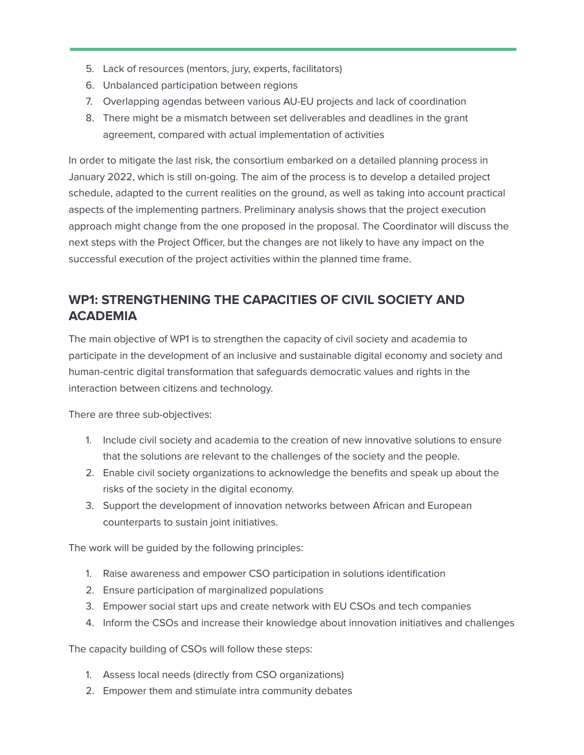- 5. Lack of resources (mentors, jury, experts, facilitators)
- 6. Unbalanced participation between regions
- 7. Overlapping agendas between various AU-EU projects and lack of coordination
- 8. There might be a mismatch between set deliverables and deadlines in the grant agreement, compared with actual implementation of activities

In order to mitigate the last risk, the consortium embarked on a detailed planning process in January 2022, which is still on-going. The aim of the process is to develop a detailed project schedule, adapted to the current realities on the ground, as well as taking into account practical aspects of the implementing partners. Preliminary analysis shows that the project execution approach might change from the one proposed in the proposal. The Coordinator will discuss the next steps with the Project Officer, but the changes are not likely to have any impact on the successful execution of the project activities within the planned time frame.

# **WP1: STRENGTHENING THE CAPACITIES OF CIVIL SOCIETY AND ACADEMIA**

The main objective of WP1 is to strengthen the capacity of civil society and academia to participate in the development of an inclusive and sustainable digital economy and society and human-centric digital transformation that safeguards democratic values and rights in the interaction between citizens and technology.

There are three sub-objectives:

- 1. Include civil society and academia to the creation of new innovative solutions to ensure that the solutions are relevant to the challenges of the society and the people.
- 2. Enable civil society organizations to acknowledge the benefits and speak up about the risks of the society in the digital economy.
- 3. Support the development of innovation networks between African and European counterparts to sustain joint initiatives.

The work will be guided by the following principles:

- 1. Raise awareness and empower CSO participation in solutions identification
- 2. Ensure participation of marginalized populations
- 3. Empower social start ups and create network with EU CSOs and tech companies
- 4. Inform the CSOs and increase their knowledge about innovation initiatives and challenges

The capacity building of CSOs will follow these steps:

- 1. Assess local needs (directly from CSO organizations)
- 2. Empower them and stimulate intra community debates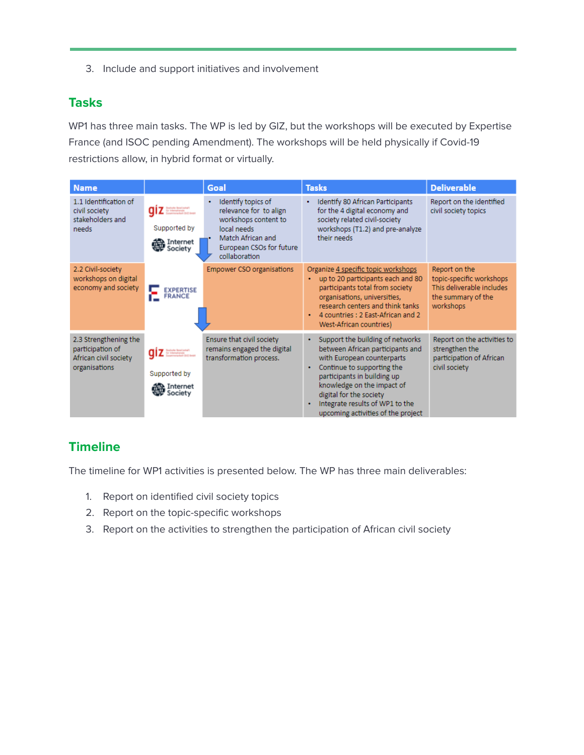3. Include and support initiatives and involvement

## **Tasks**

WP1 has three main tasks. The WP is led by GIZ, but the workshops will be executed by Expertise France (and ISOC pending Amendment). The workshops will be held physically if Covid-19 restrictions allow, in hybrid format or virtually.

| <b>Name</b>                                                                         |                                    | Goal                                                                                                                                                   | <b>Tasks</b>                                                                                                                                                                                                                                                                                                | <b>Deliverable</b>                                                                                        |
|-------------------------------------------------------------------------------------|------------------------------------|--------------------------------------------------------------------------------------------------------------------------------------------------------|-------------------------------------------------------------------------------------------------------------------------------------------------------------------------------------------------------------------------------------------------------------------------------------------------------------|-----------------------------------------------------------------------------------------------------------|
| 1.1 Identification of<br>civil society<br>stakeholders and<br>needs                 | Supported by<br>Society            | Identify topics of<br>relevance for to align<br>workshops content to<br>local needs.<br>Match African and<br>European CSOs for future<br>collaboration | Identify 80 African Participants<br>for the 4 digital economy and<br>society related civil-society<br>workshops (T1.2) and pre-analyze<br>their needs                                                                                                                                                       | Report on the identified<br>civil society topics                                                          |
| 2.2 Civil-society<br>workshops on digital<br>economy and society                    | <b>EXPERTISE</b><br><b>FRANCE</b>  | <b>Empower CSO organisations</b>                                                                                                                       | Organize 4 specific topic workshops<br>up to 20 participants each and 80<br>participants total from society<br>organisations, universities,<br>research centers and think tanks<br>4 countries : 2 East-African and 2<br>West-African countries)                                                            | Report on the<br>topic-specific workshops<br>This deliverable includes<br>the summary of the<br>workshops |
| 2.3 Strengthening the<br>participation of<br>African civil society<br>organisations | Supported by<br>Thernet<br>Society | Ensure that civil society<br>remains engaged the digital<br>transformation process.                                                                    | Support the building of networks<br>٠<br>between African participants and<br>with European counterparts<br>Continue to supporting the<br>participants in building up<br>knowledge on the impact of<br>digital for the society<br>Integrate results of WP1 to the<br>٠<br>upcoming activities of the project | Report on the activities to<br>strengthen the<br>participation of African<br>civil society                |

## **Timeline**

The timeline for WP1 activities is presented below. The WP has three main deliverables:

- 1. Report on identified civil society topics
- 2. Report on the topic-specific workshops
- 3. Report on the activities to strengthen the participation of African civil society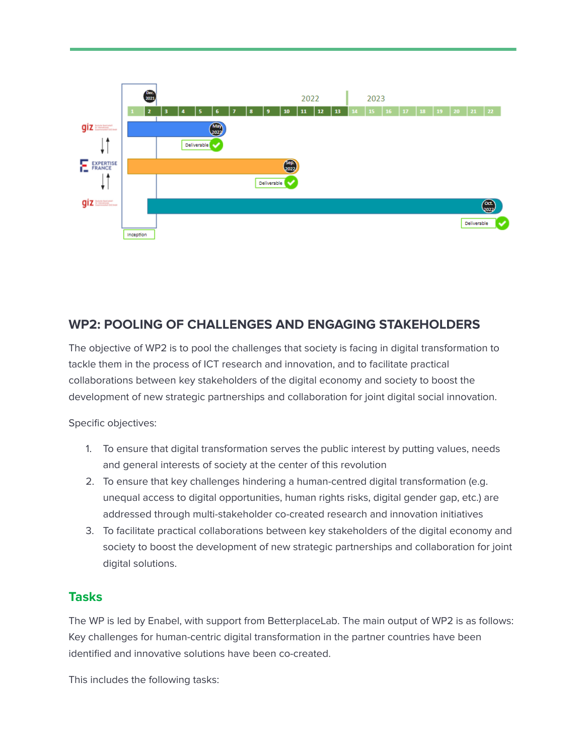

## **WP2: POOLING OF CHALLENGES AND ENGAGING STAKEHOLDERS**

The objective of WP2 is to pool the challenges that society is facing in digital transformation to tackle them in the process of ICT research and innovation, and to facilitate practical collaborations between key stakeholders of the digital economy and society to boost the development of new strategic partnerships and collaboration for joint digital social innovation.

Specific objectives:

- 1. To ensure that digital transformation serves the public interest by putting values, needs and general interests of society at the center of this revolution
- 2. To ensure that key challenges hindering a human-centred digital transformation (e.g. unequal access to digital opportunities, human rights risks, digital gender gap, etc.) are addressed through multi-stakeholder co-created research and innovation initiatives
- 3. To facilitate practical collaborations between key stakeholders of the digital economy and society to boost the development of new strategic partnerships and collaboration for joint digital solutions.

#### **Tasks**

The WP is led by Enabel, with support from BetterplaceLab. The main output of WP2 is as follows: Key challenges for human-centric digital transformation in the partner countries have been identified and innovative solutions have been co-created.

This includes the following tasks: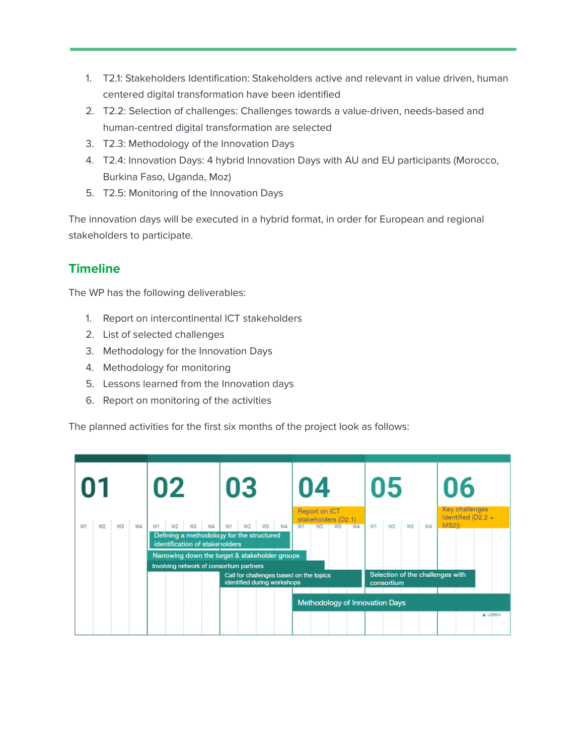- 1. T2.1: Stakeholders Identification: Stakeholders active and relevant in value driven, human centered digital transformation have been identified
- 2. T2.2: Selection of challenges: Challenges towards a value-driven, needs-based and human-centred digital transformation are selected
- 3. T2.3: Methodology of the Innovation Days
- 4. T2.4: Innovation Days: 4 hybrid Innovation Days with AU and EU participants (Morocco, Burkina Faso, Uganda, Moz)
- 5. T2.5: Monitoring of the Innovation Days

The innovation days will be executed in a hybrid format, in order for European and regional stakeholders to participate.

## **Timeline**

The WP has the following deliverables:

- 1. Report on intercontinental ICT stakeholders
- 2. List of selected challenges
- 3. Methodology for the Innovation Days
- 4. Methodology for monitoring
- 5. Lessons learned from the Innovation days
- 6. Report on monitoring of the activities

The planned activities for the first six months of the project look as follows:

| U1             | 02                                                                          | 03                                                                                                                       | 04                                                  | 05                                             | 06                                          |  |  |  |  |  |  |
|----------------|-----------------------------------------------------------------------------|--------------------------------------------------------------------------------------------------------------------------|-----------------------------------------------------|------------------------------------------------|---------------------------------------------|--|--|--|--|--|--|
| W2 W3 W4<br>W1 | Defining a methodology for the structured<br>identification of stakeholders | w1   w2   w3   w4   w1   w2   w3   w4                                                                                    | Report on ICT<br>stakeholders (D2.1)<br>W1 W2 W3 W4 | W2 W3 W4<br>W1                                 | Key challenges<br>identified (D2.2+<br>MS2) |  |  |  |  |  |  |
|                | Involving network of consortium partners                                    | Narrowing down the target & stakeholder groups<br>Call for challenges based on the topics<br>identified during workshops |                                                     | Selection of the challenges with<br>consortium |                                             |  |  |  |  |  |  |
|                |                                                                             |                                                                                                                          | Methodology of Innovation Days                      |                                                | A LOREM                                     |  |  |  |  |  |  |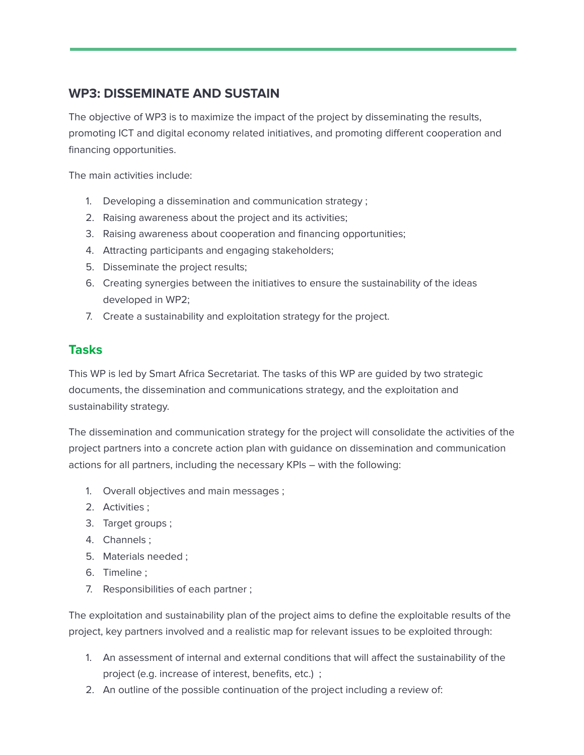## **WP3: DISSEMINATE AND SUSTAIN**

The objective of WP3 is to maximize the impact of the project by disseminating the results, promoting ICT and digital economy related initiatives, and promoting different cooperation and financing opportunities.

The main activities include:

- 1. Developing a dissemination and communication strategy ;
- 2. Raising awareness about the project and its activities;
- 3. Raising awareness about cooperation and financing opportunities;
- 4. Attracting participants and engaging stakeholders;
- 5. Disseminate the project results;
- 6. Creating synergies between the initiatives to ensure the sustainability of the ideas developed in WP2;
- 7. Create a sustainability and exploitation strategy for the project.

#### **Tasks**

This WP is led by Smart Africa Secretariat. The tasks of this WP are guided by two strategic documents, the dissemination and communications strategy, and the exploitation and sustainability strategy.

The dissemination and communication strategy for the project will consolidate the activities of the project partners into a concrete action plan with guidance on dissemination and communication actions for all partners, including the necessary KPIs – with the following:

- 1. Overall objectives and main messages ;
- 2. Activities ;
- 3. Target groups ;
- 4. Channels ;
- 5. Materials needed ;
- 6. Timeline ;
- 7. Responsibilities of each partner ;

The exploitation and sustainability plan of the project aims to define the exploitable results of the project, key partners involved and a realistic map for relevant issues to be exploited through:

- 1. An assessment of internal and external conditions that will affect the sustainability of the project (e.g. increase of interest, benefits, etc.) ;
- 2. An outline of the possible continuation of the project including a review of: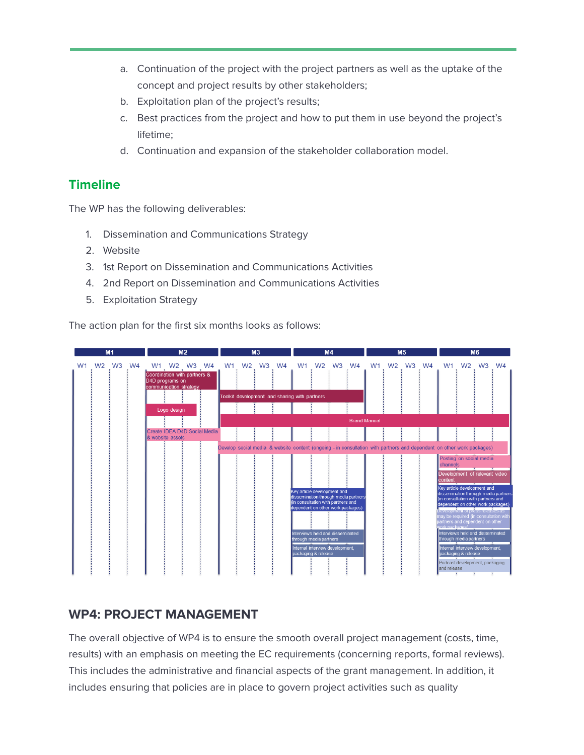- a. Continuation of the project with the project partners as well as the uptake of the concept and project results by other stakeholders;
- b. Exploitation plan of the project's results;
- c. Best practices from the project and how to put them in use beyond the project's lifetime;
- d. Continuation and expansion of the stakeholder collaboration model.

#### **Timeline**

The WP has the following deliverables:

- 1. Dissemination and Communications Strategy
- 2. Website
- 3. 1st Report on Dissemination and Communications Activities
- 4. 2nd Report on Dissemination and Communications Activities
- 5. Exploitation Strategy

The action plan for the first six months looks as follows:



#### **WP4: PROJECT MANAGEMENT**

The overall objective of WP4 is to ensure the smooth overall project management (costs, time, results) with an emphasis on meeting the EC requirements (concerning reports, formal reviews). This includes the administrative and financial aspects of the grant management. In addition, it includes ensuring that policies are in place to govern project activities such as quality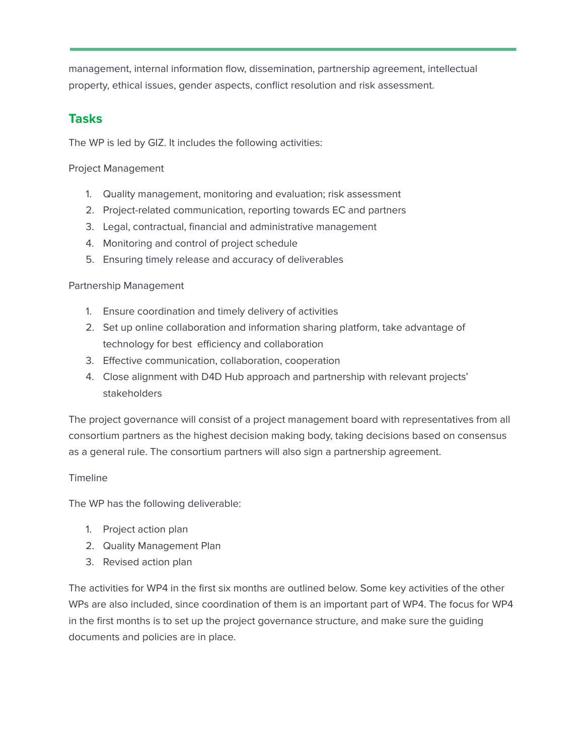management, internal information flow, dissemination, partnership agreement, intellectual property, ethical issues, gender aspects, conflict resolution and risk assessment.

#### **Tasks**

The WP is led by GIZ. It includes the following activities:

Project Management

- 1. Quality management, monitoring and evaluation; risk assessment
- 2. Project-related communication, reporting towards EC and partners
- 3. Legal, contractual, financial and administrative management
- 4. Monitoring and control of project schedule
- 5. Ensuring timely release and accuracy of deliverables

Partnership Management

- 1. Ensure coordination and timely delivery of activities
- 2. Set up online collaboration and information sharing platform, take advantage of technology for best efficiency and collaboration
- 3. Effective communication, collaboration, cooperation
- 4. Close alignment with D4D Hub approach and partnership with relevant projects' stakeholders

The project governance will consist of a project management board with representatives from all consortium partners as the highest decision making body, taking decisions based on consensus as a general rule. The consortium partners will also sign a partnership agreement.

#### Timeline

The WP has the following deliverable:

- 1. Project action plan
- 2. Quality Management Plan
- 3. Revised action plan

The activities for WP4 in the first six months are outlined below. Some key activities of the other WPs are also included, since coordination of them is an important part of WP4. The focus for WP4 in the first months is to set up the project governance structure, and make sure the guiding documents and policies are in place.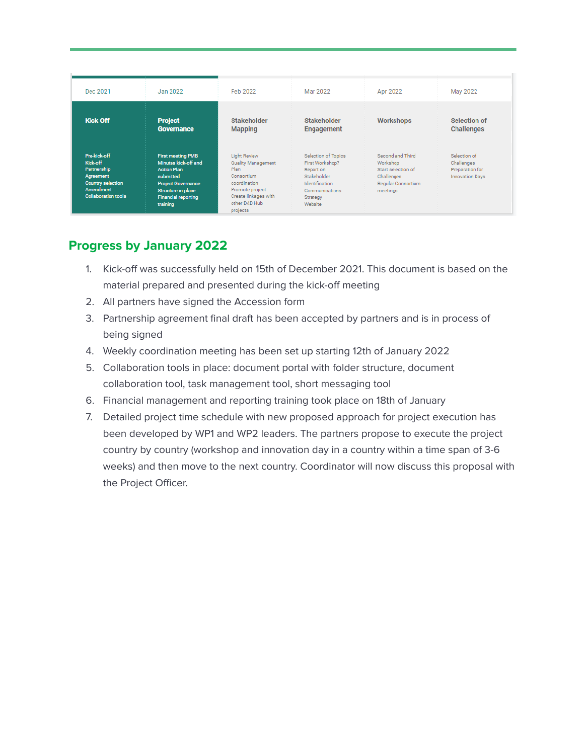| Dec 2021                                                                                                                    | Jan 2022                                                                                                                                                                         | Feb 2022                                                                                                                                                       | Mar 2022                                                                                                                             | Apr 2022                                                                                           | May 2022                                                                |
|-----------------------------------------------------------------------------------------------------------------------------|----------------------------------------------------------------------------------------------------------------------------------------------------------------------------------|----------------------------------------------------------------------------------------------------------------------------------------------------------------|--------------------------------------------------------------------------------------------------------------------------------------|----------------------------------------------------------------------------------------------------|-------------------------------------------------------------------------|
| <b>Kick Off</b>                                                                                                             | <b>Project</b><br><b>Governance</b>                                                                                                                                              | <b>Stakeholder</b><br><b>Mapping</b>                                                                                                                           | Stakeholder<br><b>Engagement</b>                                                                                                     | <b>Workshops</b>                                                                                   | Selection of<br><b>Challenges</b>                                       |
| Pre-kick-off<br>Kick-off<br>Partnership<br>Agreement<br><b>Country selection</b><br>Amendment<br><b>Collaboration tools</b> | <b>First meeting PMB</b><br>Minutes kick-off and<br><b>Action Plan</b><br>submitted<br><b>Project Governance</b><br>Structure in place<br><b>Financial reporting</b><br>training | <b>Light Review</b><br><b>Quality Management</b><br>Plan<br>Consortium<br>coordination<br>Promote project<br>Create linkages with<br>other D4D Hub<br>projects | <b>Selection of Topics</b><br>First Workshop?<br>Report on<br>Stakeholder<br>Identification<br>Communications<br>Strategy<br>Website | Second and Third<br>Workshop<br>Start selection of<br>Challenges<br>Regular Consortium<br>meetings | Selection of<br>Challenges<br>Preparation for<br><b>Innovation Days</b> |

## **Progress by January 2022**

- 1. Kick-off was successfully held on 15th of December 2021. This document is based on the material prepared and presented during the kick-off meeting
- 2. All partners have signed the Accession form
- 3. Partnership agreement final draft has been accepted by partners and is in process of being signed
- 4. Weekly coordination meeting has been set up starting 12th of January 2022
- 5. Collaboration tools in place: document portal with folder structure, document collaboration tool, task management tool, short messaging tool
- 6. Financial management and reporting training took place on 18th of January
- 7. Detailed project time schedule with new proposed approach for project execution has been developed by WP1 and WP2 leaders. The partners propose to execute the project country by country (workshop and innovation day in a country within a time span of 3-6 weeks) and then move to the next country. Coordinator will now discuss this proposal with the Project Officer.